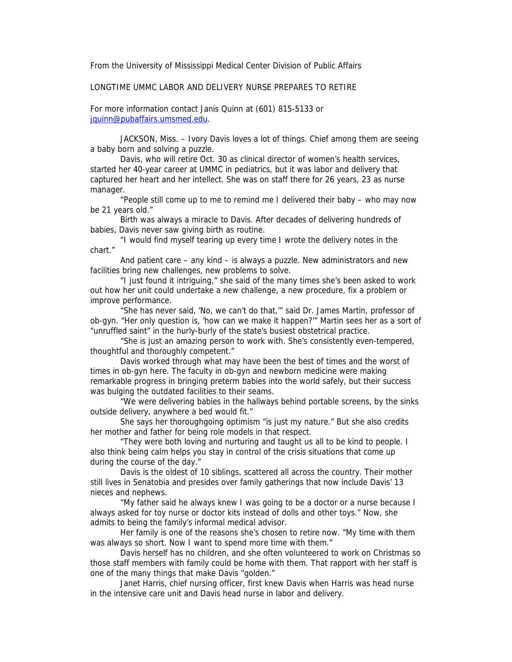From the University of Mississippi Medical Center Division of Public Affairs

## LONGTIME UMMC LABOR AND DELIVERY NURSE PREPARES TO RETIRE

For more information contact Janis Quinn at (601) 815-5133 or [jquinn@pubaffairs.umsmed.edu](mailto:jquinn@pubaffairs.umsmed.edu).

JACKSON, Miss. – Ivory Davis loves a lot of things. Chief among them are seeing a baby born and solving a puzzle.

Davis, who will retire Oct. 30 as clinical director of women's health services, started her 40-year career at UMMC in pediatrics, but it was labor and delivery that captured her heart and her intellect. She was on staff there for 26 years, 23 as nurse manager.

"People still come up to me to remind me I delivered their baby – who may now be 21 years old."

Birth was always a miracle to Davis. After decades of delivering hundreds of babies, Davis never saw giving birth as routine.

"I would find myself tearing up every time I wrote the delivery notes in the chart."

And patient care – any kind – is always a puzzle. New administrators and new facilities bring new challenges, new problems to solve.

"I just found it intriguing," she said of the many times she's been asked to work out how her unit could undertake a new challenge, a new procedure, fix a problem or improve performance.

"She has never said, 'No, we can't do that,'" said Dr. James Martin, professor of ob-gyn. "Her only question is, 'how can we make it happen?'" Martin sees her as a sort of "unruffled saint" in the hurly-burly of the state's busiest obstetrical practice.

"She is just an amazing person to work with. She's consistently even-tempered, thoughtful and thoroughly competent."

Davis worked through what may have been the best of times and the worst of times in ob-gyn here. The faculty in ob-gyn and newborn medicine were making remarkable progress in bringing preterm babies into the world safely, but their success was bulging the outdated facilities to their seams.

"We were delivering babies in the hallways behind portable screens, by the sinks outside delivery, anywhere a bed would fit."

She says her thoroughgoing optimism "is just my nature." But she also credits her mother and father for being role models in that respect.

"They were both loving and nurturing and taught us all to be kind to people. I also think being calm helps you stay in control of the crisis situations that come up during the course of the day."

Davis is the oldest of 10 siblings, scattered all across the country. Their mother still lives in Senatobia and presides over family gatherings that now include Davis' 13 nieces and nephews.

"My father said he always knew I was going to be a doctor or a nurse because I always asked for toy nurse or doctor kits instead of dolls and other toys." Now, she admits to being the family's informal medical advisor.

Her family is one of the reasons she's chosen to retire now. "My time with them was always so short. Now I want to spend more time with them."

Davis herself has no children, and she often volunteered to work on Christmas so those staff members with family could be home with them. That rapport with her staff is one of the many things that make Davis "golden."

Janet Harris, chief nursing officer, first knew Davis when Harris was head nurse in the intensive care unit and Davis head nurse in labor and delivery.